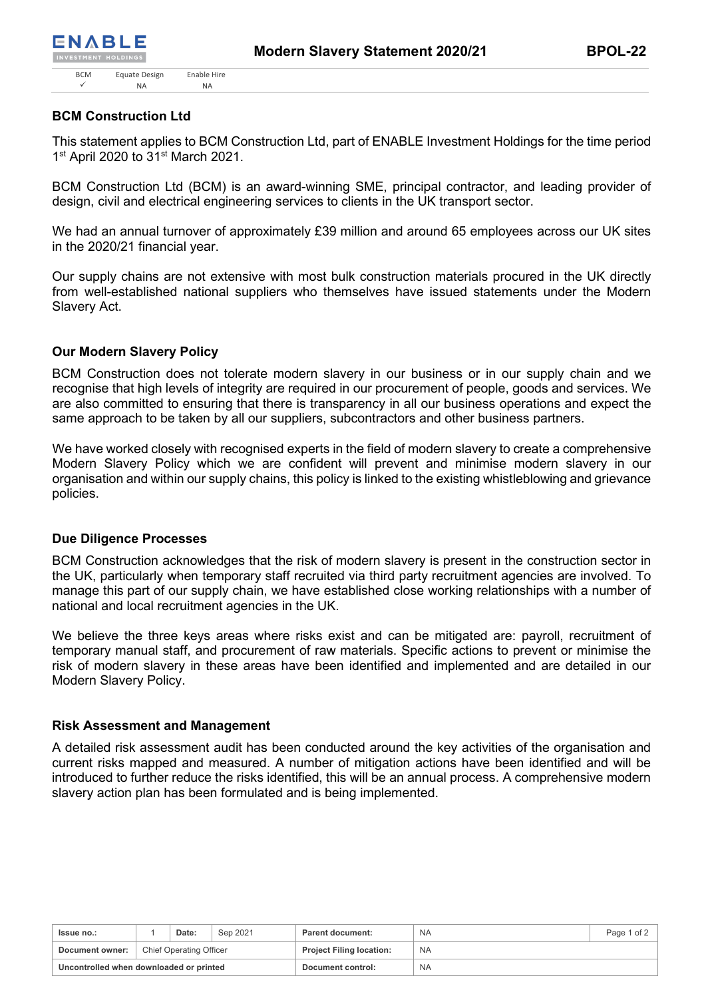# **BCM Construction Ltd**

This statement applies to BCM Construction Ltd, part of ENABLE Investment Holdings for the time period 1<sup>st</sup> April 2020 to 31<sup>st</sup> March 2021.

BCM Construction Ltd (BCM) is an award-winning SME, principal contractor, and leading provider of design, civil and electrical engineering services to clients in the UK transport sector.

We had an annual turnover of approximately £39 million and around 65 employees across our UK sites in the 2020/21 financial year.

Our supply chains are not extensive with most bulk construction materials procured in the UK directly from well-established national suppliers who themselves have issued statements under the Modern Slavery Act.

## **Our Modern Slavery Policy**

BCM Construction does not tolerate modern slavery in our business or in our supply chain and we recognise that high levels of integrity are required in our procurement of people, goods and services. We are also committed to ensuring that there is transparency in all our business operations and expect the same approach to be taken by all our suppliers, subcontractors and other business partners.

We have worked closely with recognised experts in the field of modern slavery to create a comprehensive Modern Slavery Policy which we are confident will prevent and minimise modern slavery in our organisation and within our supply chains, this policy is linked to the existing whistleblowing and grievance policies.

## **Due Diligence Processes**

BCM Construction acknowledges that the risk of modern slavery is present in the construction sector in the UK, particularly when temporary staff recruited via third party recruitment agencies are involved. To manage this part of our supply chain, we have established close working relationships with a number of national and local recruitment agencies in the UK.

We believe the three keys areas where risks exist and can be mitigated are: payroll, recruitment of temporary manual staff, and procurement of raw materials. Specific actions to prevent or minimise the risk of modern slavery in these areas have been identified and implemented and are detailed in our Modern Slavery Policy.

#### **Risk Assessment and Management**

A detailed risk assessment audit has been conducted around the key activities of the organisation and current risks mapped and measured. A number of mitigation actions have been identified and will be introduced to further reduce the risks identified, this will be an annual process. A comprehensive modern slavery action plan has been formulated and is being implemented.

| Issue no.:                              |                         | Date: | Sep 2021 | Parent document:                | NA        | Page 1 of 2 |
|-----------------------------------------|-------------------------|-------|----------|---------------------------------|-----------|-------------|
| Document owner:                         | Chief Operating Officer |       |          | <b>Project Filing location:</b> | <b>NA</b> |             |
| Uncontrolled when downloaded or printed |                         |       |          | Document control:               | <b>NA</b> |             |